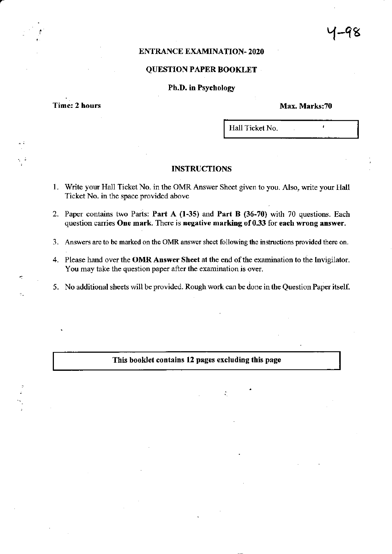# ENTRANCE EXAMINATION. 2O2O

# QUESTION PAPER BOOKLET

### Ph.D. in Psychology

Time: 2 hours

Max. Marks:70

 $\lambda$ 

Hall Ticket No.

# INSTRUCTIONS

- l. Write your Hall Ticket No. in the OMR Answer Sheet given to you. Also, write your Hall Ticket No. in the space provided above
- 2. Paper contains two Parts: Part A (1-35) and Part B (36-70) with 70 questions. Each question carries One mark. There is negative marking of 0.33 for each wrong answer.
- 3. Answers are to be marked on the OMR answer sheet following the instructions provided there on.
- 4. Please hand over the **OMR Answer Sheet** at the end of the examination to the Invigilator. You may take the question paper after the examination is over.
- 5. No additional sheets will be provided. Rough work can be done in the Question Paper itself.

This booklet contains 12 pages excluding this page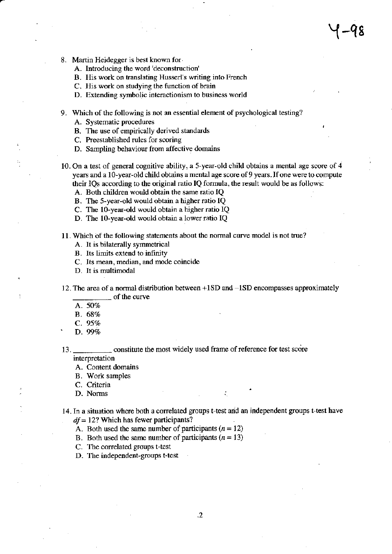- 8. Martin Heidegger is best known for
	- A. lnftoducing the word 'deconstruction'
	- B. His work on translating Husserl's writing into French
	- C. His work on studying the function of brain
	- D. Extending symbolic interactionism to business world
- 9. Which of the following is not an essential element of psychological testing?
	- A. Systematic procedures
	- B. The use of empirically derived standards
	- C. Preestablished rules for scoring
	- D. Sampling behaviour from affective domains
- 10. On a test of general cognitive ability, a 5-year-old child obtains a mental age score of 4 years and a l0-year-old child obtains a mental age score of 9 years. If one were to compute their IQs according to the original ratio IQ formula, the result would be as follows: A. Both children would obtain the same ratio IQ
	-
	- B. The 5-year-old would obtain a higher ratio IQ
	- C. The l0-year-old would obtain a higher ratio lQ
	- D. The 10-year-old would obtain a lower ratio IQ
- 11. Which of the following statements about the normal curve model is not true?
	- A. It is bilaterally symmetrical
	- B. Its limits extend to infinity
	- C. Its mean, median, and mode coincide
	- D. It is multimodal
- 12. The area of a normal distribution between  $+1SD$  and  $-1SD$  encompasses approximately of the curve
	- A. 50%
	- B.68
	-
- C. 95%<br>D. 99%

13. constitute the mosl widely used frame of relerence for test score interpretation

A. Content domains

- <sup>B</sup>. Work samples
- C. Criteria
- D. Noms

14. In a situation where both a correlated groups t-test and an independent groups t-test have  $df = 12$ ? Which has fewer participants?

- A. Both used the same number of participants  $(n = 12)$
- B. Both used the same number of participants  $(n = 13)$
- C. The correlated groups t-test
- D. The independent-groups t-test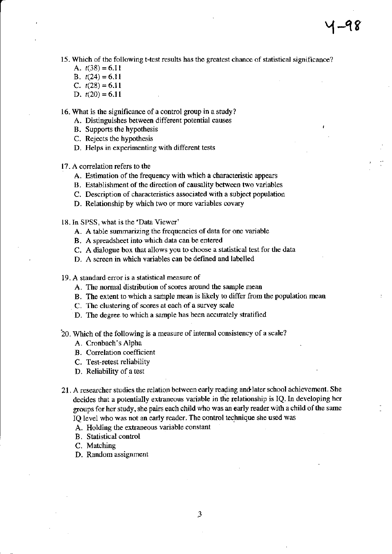- 15. Which of the following t-test results has the greatest chance of statistical significance?
	- A.  $t(38) = 6.11$
	- B.  $t(24) = 6.11$
	- C.  $t(28) = 6.11$
	- D.  $t(20) = 6.11$

16. What is the significance of a control group in a study?

- A. Distinguishes between different potential causes
- B. Supports the hypothesis
- C. Rejects the hyporhesis
- D. Helps in experimenting with different tests
- 17. A correlation refers to the
	- A. Estimation of the frequency with which a characteristic appears
	- B. Establishment of the direction of causality between two variables
	- C. Description of characteristics associated with a subject population
	- D. Relationship by which two or more variables covary
- l8.In SPSS, what is the 'Data Viewet'
	- A. A table summarizing the frequencies of data for one variable
	- B. A spreadsheet into which data can be entered
	- C. A dialogue box that allows you to choose a statistical test for the data
	- D. A screen in which variables can be defined and labelled
- 19. A standard eror is a statistical measurc of
	- A. The normal distribution of scores around the sample mean
	- B. The extent to which a sample mean is likely to differ from the population mean
	- C. The clustering of scores at each of a survey scale
	- D. The degree to which a sample has been accurately stratified
- 20. which of the following is a measure of intemal consistency of a scale?
	- A. Cronbach's Alpha
	- B. Correlation coefficient
	- C. Test-retest reliability
	- D. Reliability of a test
- 21. A researcher studies the relation between early reading and later school achievement. She decides that a potentially extraneous variable in the relationship is IQ. In developing her groups for her study, she pairs each child who was an early reader with a child of the same IQ level who was not an early reader. The control technique she used was
	- A. Holding the extraneous variable constant
	- B. Statistical control
	- C. Matching
	- D. Random assignment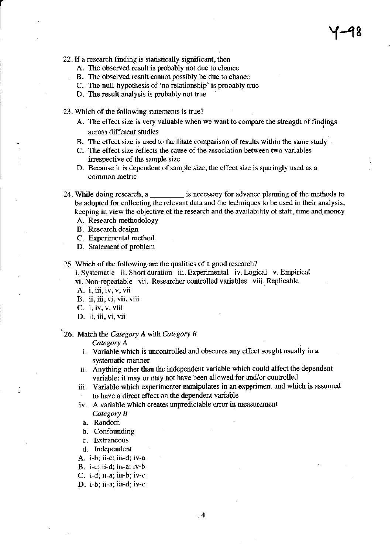- 22. If a research finding is statistically significant, then
	- A. The observed result is probably not due to chance
	- B. The observed result cannot possibly be due to chance
	- C. The null-hypothesis of 'no relationship' is probably true
	- D. The result analysis is probably not true
- 23. Which of the following statements is true?
	- A. The effect size is very valuable when we want to compare the strength of findings across different studies
	- B. The effect size is used to facilitate comparison of results within the same study
	- C. The effect size reflects the cause of the association between two variables irrespective of the sample size
	- D. Because it is dependent of sample size, the effect size is sparingly used as <sup>a</sup> common metric
- 24. While doing research, a \_\_\_\_\_\_\_\_\_ is necessary for advance planning of the methods to be adopted for collecting the relevant data and the techniques to be used in their analysis, keeping in view the objective of the research and the availability of staff, time and money
	- A. Research methodology
	- B. Research design
	- C. Experimental method
	- D. Statement of problem
- 25 . Which of the following are the qualities of a good research?
	- i. Systematic ii. Short duration iii. Experimental iv. Logical v. Empirical
	- vi. Non-repeatable vii. Researcher controlled variables viii. Replicable
	- A. i, iii, iv, v, vii
	- B. ii, iii, vi, vii, viii
	- $C_{-}$  i, iv, v, viii
	- D. ii, iii, vi, vii

## 26. Match the Category A with Category B

Category A

- i. Variable which is uncontrolled and obscures any effect sought usually in <sup>a</sup> systematic manner
- ii. Anything other than the independent variable which could affect the dependent variable: it may or may not have been allowed for and/or controlled
- iii. Variable which experimenter manipulates in an expgriment and which is assumed to have a direct effect on the dependent variable
- iv. A variable which creates unpredictable error in measurement
	- Category B
	- a. Random
	- b. Confounding
- c. Extaneous
- d. Independent

A. i-b; ii-c; iii-d; iv-a

- B. i-c; ii-d; iii-a: iv-b
- C. i-d; ii-a; iii-b: iv-c
- D. i-b; ii-a; iii-d; iv-c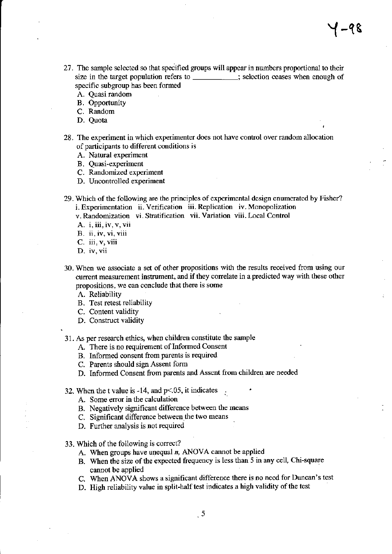- 27. The sample selected so that speiified groups will appear in numbers proportional to their size in the target population refers to \_\_\_\_\_\_\_\_\_\_; selection ceases when enough of specific subgroup has been formed
	- A. Quasi random
	- B. Opportunity
	- C. Random
	- D. Quota
- 28. The experiment in which experimenter does not have control over random allocation of participants to different conditions is
	- A. Natural experiment
	- B. Quasi-experiment
	- C. Randomized experiment
	- D. Uncontrolled experiment
- 29. Which of the following are the principles of experimental design enumerated by Fisher? i. Experimentation ii. Verification iii. Replication iv. Monopolization v. Randomization vi. Stratification vii. Variation viii. Local Control
	- A. i, iii, iv, v, vii
	- B. ii, iv, vi, viii
	- C. iii, v, viii
	- D. iv, vii
- 30. When we associate a set of other prcpositions with the results rcceived ftom using our current measurement instrument, and if they correlate in a predicted way with these other propositions, we can conclude that there is some
	- A. Reliability
	- B. Test retest reliability
	- C. Content validity
	- D. Construct validity
- 31. As per research ethics, when children constitute the sample
	- A. There is no requirement of Informed Consent
	- B. Informed consent ftom parents is required
	- C. Parents should sign Assent form
	- D. Informed Consent from parents and Assent from children are needed
- 32. When the t value is  $-14$ , and  $p<.05$ , it indicates
	- A. Some error in the calculation
	- B. Negatively significant difference between the means
	- C. Significant difference between the two means
	- D. Further analysis is not required
- 33. Which of the following is correct?
	- A. When groups have unequal  $n$ , ANOVA cannot be applied
	- B. when the size of the expected fiequency is less than 5 in any cell, Chi-squate cannot be applied
	- C. wlen ANOVA shows a significant difference there is no nccd for Duncan's test
	- D. High reliability value in split-half test indicates a high validity of the test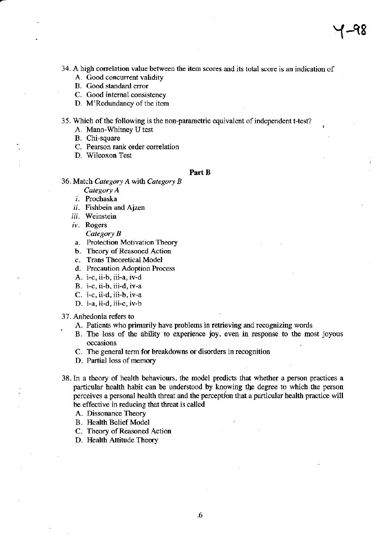34. A high conelation value between the item scores and its total score is an indication of

- A. Good concurrent validity
- B. Good standard error
- C. Good intemal consistency
- D. M'Redundancy of the item

35. Which of the following is the non-parametric equivalent of independent t-test?

- A. Mann-Whitney U test
- B. Chi-square
- C. Pearson rank order correlation
- D. Wilcoxon Test

#### Part B

36, Match Category A with Category B

- Category A
- i. Prochaska
- ii. Fishbein and Ajzen
- iii. Weinstein
- iv. Rogers
	- Category B
- a. Protection Motivation Theory
- b. Theory of Reasoned Action
- c. Trans Theoretical Model
- d. Precaution Adoption Process
- A. i-c, ii-b, iii-a, iv-d
- B. i-c, ii-b, iii-d, iv-a
- C. i-c, ii-d, iii-b, iv-a
- D. i-a, ii-d, iii-c, iv-b

## 37. Anhedonia refers to

- A. Patients who primarily have problems in retrieving and recognizing words
- B. The loss of the ability to experience joy, even in response to the most joyous occasions
- C. The general term for breakdowns or disorders in recognition
- D. Partial loss of memory
- 38.In a theory of health behaviours, the model predicts that whether a person practices a particular health habit can be understood by knowing the degree to which the person perceives a personal health threat and the perception that a particular health practice will be effective in reducing that threat is called
	- A. Dissonance Theory
	- B. Health Belief Model
	- C. Theory of Reasoned Action
	- D. Health Attitude Theory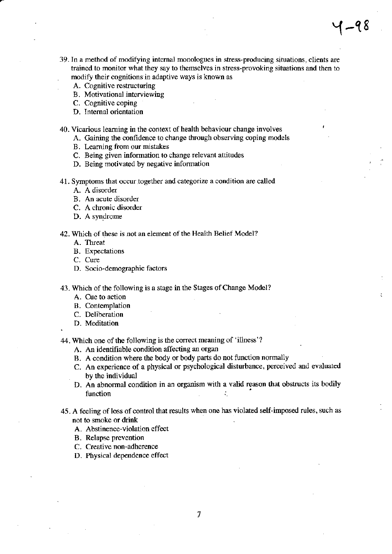- 39. In a method of modifying internal monologues in stress-producing situations, clients are trained to monitor what they say to themselves in stress-provoking situations and then to modify their cognitions in adaptive ways is known as
	- A. Cognitive restructuring
	- B. Motivational interviewing
	- C. Cognitive coping
	- D. Intemal orientation
- 40- Vicarious leaming in the context of health behaviour change involves
	- A. Gaining the confidence to change through observing coping models
	- B. Learning from our mistakes
	- C. Being given information to change relevant attitudes
	- D. Being motivated by negative information
- 4l. Symptoms that occur together and categorize a condition are called
	- A. A disorder
	- B. An acute disorder
	- C. A chronic disorder
	- D. A syndrome
- 42. which of these is not an element of the Health Belief Model?
	- A. Threat
	- B. Expectations
	- C. Cure
	- D. Socio-demographic factors
- 43 . Which of the following is a stage in the Stages of Change Model?
	- A. Cue to action
	- B. Contemplation
	- C. Deliberation
	- D. Meditation

.

- 44. Which one of the following is the correct meaning of 'illness'?
	- A. An identifiable condition affecting an organ
	- B. A condition where the body or body parts do not function normally
	- C. An experience of a physical or psychological disturbance, perceived and evaluated by the individual
	- D. An abnormal condition in an organism with a valid reason that obstructs its bodily function  $\frac{1}{2}$  is the set of  $\frac{1}{2}$  in  $\frac{1}{2}$  in  $\frac{1}{2}$  is the set of  $\frac{1}{2}$
- 45. A feeling of loss of control that results when one has violated self-imposed rules, such as not to smoke or drink
	- A. Abstinence-violation effect
	- B. Relapse prevention
	- C. Creative non-adherence
	- D. Physical dependence effect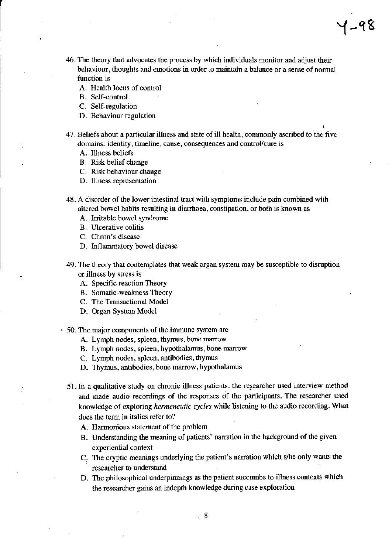46. The theory that advocates the process by which individuals monitor and adjust their behaviour, thoughts and emotions in order to maintain a balance or a sense of normal function is

Y-q8

- A. Health locus of control
- B. Self-control
- C. Self-regulation
- D. Behaviour regulation
- 47. Beliefs about a particular illness and state of ill health, commonly ascribed to the five domains: identity, timeline, cause, consequences and control/cure is
	- A. Illness beliefs
	- B. Risk belief change
	- C. Risk behaviour change
	- D. Illness representation
- 48 . A disoder of the lower intestinal tract with symptoms include pain combined with altered bowel habits resulting in diarrhoea, constipation, or both is known as
	- A. Irritable bowel syndrome
	- B. Ulcerative colitis
	- C. Chron's disease
	- D. Inflammatory bowel disease
- 49. The theory that contemplates that weak organ system may be susceptible to disruption or illness by stress is
	- A. Specific reaction Theory
	- B. Somatic-weakness Theory
	- C. The Transactional Model
	- D. Organ System Model
- $\cdot$  50. The major components of the immune system are
	- A. Lymph nodes, spleen, thymus, bone rnarow
	- B. Lymph nodes, spleen, hypothalamus, bone marrow
	- C. Lymph nodes, spleen, antibodies, thyrrus
	- D. Thymus, antibodies, bone marrow, hypothalamus
	- 51. In a qualitative study on chronic illness patients, the researcher used interview method and made audio recodings of the responses of tie participants. The researcher used knowledge of exploring hermeneutic cycles while listening to the audio recording. What does the term in italics refer to?
		- A. Harmonious statement of the problem
		- B. Understanding the meaning of patients' narration in the background of the given experiential context
		- C. The cryptic meanings underlying the patient's naration which s/he only wants the researcher to understand
		- D. The philosophical underpinnings as the patient succumbs to illness contexts which the rcsearcher gains an indepth knowledge during case exploration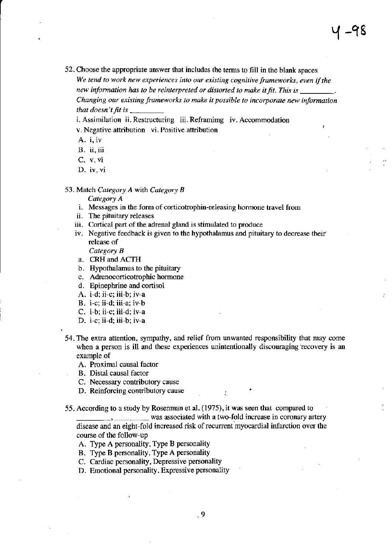52. Choose the appropriate answer that includes the terms to fill in the blank spaces We tend to work new experiences into our existing cognitive frameworks, even if the new information has to be reinterpreted or distorted to make it fit. This is Changing our existing frameworks to make it possible to incorporate new information that doesn't fit is  $\mathbf{r}$ 

i. Assimilation ii. Restructuring iii. Reframimg iv. Accommodation v. Negative attribution vi. Positive attribution

A. i, iv

- **B.** ii, iii
- C- v. vi
- D. iv, vi

53. Match Category A with Category  $B$ 

Category A

- i. Messages in the form of corticotrophin-releasing hormone travel from
- ii. The pituitary releases
- iii. Cortical part of the adrenal gland is stimulated to produce
- iv. Negative feedback is given to the hypothalamus and pituitary to decrease their release of

Category B

- a. CRH and ACTH
- b. Hypothalamus to the pituitary
- c. Adrenocorticotrophic hormone
- d. Epinephrine and cortisol
- A. i-d; ji-c; iii-b; iv-a
- B. i-c;ii-d; iii-a; iv-b
- C. i-b; ii-c; iii-d; iv-a
- D. i-c; ii-d; iii-b; iv-a
- 54. The extra attention, sympathy, and relief from unwanted responsibility that may come when a person is ill and these experiences unintentionally discouraging recovery is an example of
	- A. Proximal causal factor
	- B. Distal causal factor
	- C. Necessary contributory cause
	- D. Reinforcing contributory cause

55. According to a study by Rosenman et al. (1975), it was seen tbat compared to

 $\sim$ ,  $\sim$  was associated with a two-fold increase in coronary artery disease and an eight-fold increased risk of recurrent myocardial infarction over the course of the follow-up

- A. Type A personality, Type B personality
- B. Type B personality, Type A personality
- C. Cardiac personality, Depressive personality
- D. Emotional personaliry, Expressive personality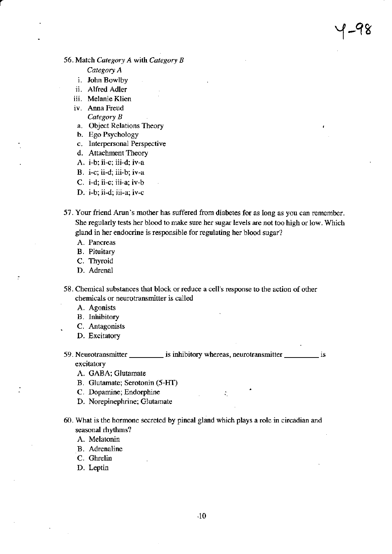# 56. Match Category A with Category B

#### Category A

- i. John Bowlby
- ii. Alfred Adler
- iii. Melanie Klien
- iv. Anna Freud
	- Category B
- a. Object Relations Theory
- b. Ego Psychology
- c. Interpersonal Perspective
- d. Attachment Theory
- A. i-b; ii-c; iii-d; iv-a
- B. i-c; ii-d: iii-b; iv-a
- C. i-d; ii-c; iii-a; iv-b
- D. i-b; ii-d; iii-a; iv-c
- 57. Your friend Arun's mother has suffered from diabetes for as long as you can remember. She regularly tests her blood to make sure her sugar levels are not too high or low. Which gland in her endocrine is responsible for regulating her blood sugar?
	- A. Pancreas
	- B. Pituitary
	- C. Thyroid
	- D. Adrenal
- 58. Chemical substances that block or reduce a cell's response to the action of other chemicals or neurotransmitter is called
	- A. Agonists
	- B. Inhibitory
	- C. Antagonists
	- D. Excitatory
- 59. Neurotransmitter \_\_\_\_\_\_\_\_\_\_ is inhibitory whereas, neurotransmitter \_\_\_\_\_\_\_\_\_ is excitatory

Ŵ

- A. GABA: Glutamate
- B. Glutamate; Serotonin (5-HT)
- C. Dopamine; Endorphine
- D. Norepinephrine: Clutamate
- 60. What is the hormone secreted by pineal gland which plays a role in circadian and seasonal rhythms?
	- A. Melatonin
	- B. Adrenaline
	- C. Ghrelin
	- D. Leptin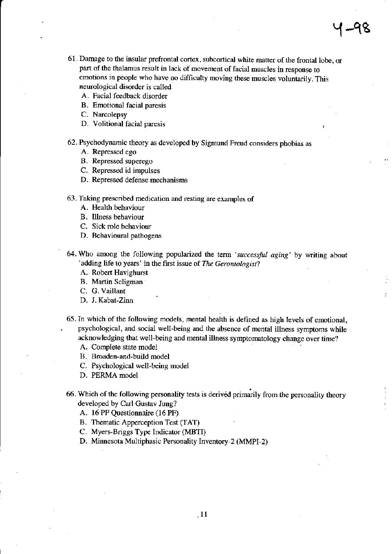- 61. Damage to the insular prefrontal cortex, subcortical white matter of the frontal lobe, or part of the thalamus result in lack of movement of facial muscles in response to emotions in people who have no difficulty moving these muscles voluntarily. This neurological disorder is called
	- A. Facial feedback disorder
	- B. Emotional facial paresis
	- C. Narcolepsy
	- D. Volitional facial paresis
- 62. Psychodynamic theory as developed by Sigmund Freud considers phobias as
	- A. Repressed ego
	- B. Repressed superego
	- C. Repressed id impulses
	- D. Repressed defense mechanisms
- 63. Taking prescribed medication and resting are examples of
	- A. Health behaviour
	- B. Illness behaviour
	- C. Sick role behaviour
	- D. Behavioural pathogens
- 64. Who among the following popularized the term 'successful aging' by writing about 'adding life to years' in the first issue of The Gerontologist?
	- A. Robert Havighurst
	- B. Martin Seligman
	- C. G. Vaillant
	- D. J. Kabat-Zinn
- 65. In which of the following models, mental health is defined as high levels of emotional, psychological, and social well-being and the absence of mental illness symptoms while acknowledging that well-being and mental illness symptomatology change over time?
	- A. Complete state model
	- B. Broaden-and-build model
	- C. Psychological well-being model
	- D. PERMA model
- 66. Which of the following personality tests is derived primarily from the personality theory developed by Carl Gustav Jung?
	- A. 16 PF Questionnaire (16 PF)
	- B. Thematic Apperception Test (TAT)
	- C. Myers-Briggs Type lndicator (MBTI)
	- D. Minnesota Multiphasic Personality Inventory-2 (MMPI-2)